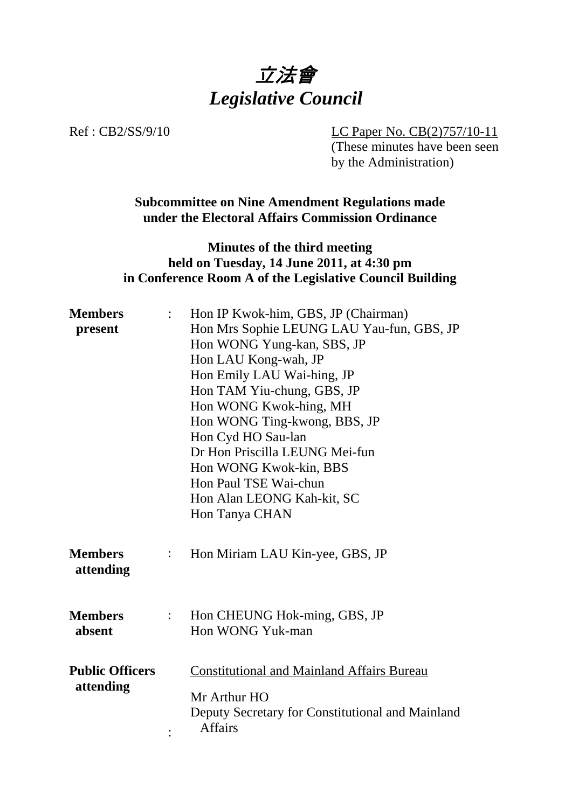

Ref : CB2/SS/9/10 LC Paper No. CB(2)757/10-11

(These minutes have been seen by the Administration)

**Subcommittee on Nine Amendment Regulations made under the Electoral Affairs Commission Ordinance** 

## **Minutes of the third meeting held on Tuesday, 14 June 2011, at 4:30 pm in Conference Room A of the Legislative Council Building**

| <b>Members</b>              |                    | Hon IP Kwok-him, GBS, JP (Chairman)                                                |
|-----------------------------|--------------------|------------------------------------------------------------------------------------|
| present                     |                    | Hon Mrs Sophie LEUNG LAU Yau-fun, GBS, JP                                          |
|                             |                    | Hon WONG Yung-kan, SBS, JP                                                         |
|                             |                    | Hon LAU Kong-wah, JP                                                               |
|                             |                    | Hon Emily LAU Wai-hing, JP                                                         |
|                             |                    | Hon TAM Yiu-chung, GBS, JP                                                         |
|                             |                    | Hon WONG Kwok-hing, MH                                                             |
|                             |                    | Hon WONG Ting-kwong, BBS, JP                                                       |
|                             |                    | Hon Cyd HO Sau-lan                                                                 |
|                             |                    | Dr Hon Priscilla LEUNG Mei-fun                                                     |
|                             |                    | Hon WONG Kwok-kin, BBS                                                             |
|                             |                    | Hon Paul TSE Wai-chun                                                              |
|                             |                    | Hon Alan LEONG Kah-kit, SC                                                         |
|                             |                    | Hon Tanya CHAN                                                                     |
| <b>Members</b><br>attending | $\ddot{\cdot}$     | Hon Miriam LAU Kin-yee, GBS, JP                                                    |
| <b>Members</b><br>absent    | $\mathbb{Z}^{n+1}$ | Hon CHEUNG Hok-ming, GBS, JP<br>Hon WONG Yuk-man                                   |
| <b>Public Officers</b>      |                    | <b>Constitutional and Mainland Affairs Bureau</b>                                  |
| attending                   |                    | Mr Arthur HO<br>Deputy Secretary for Constitutional and Mainland<br><b>Affairs</b> |
|                             |                    |                                                                                    |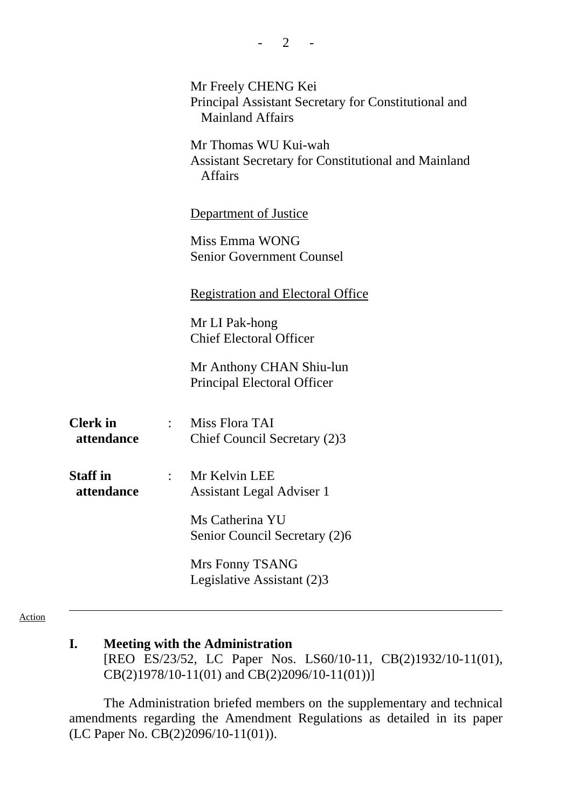|                               |                                    | Mr Freely CHENG Kei<br>Principal Assistant Secretary for Constitutional and<br><b>Mainland Affairs</b><br>Mr Thomas WU Kui-wah<br><b>Assistant Secretary for Constitutional and Mainland</b><br><b>Affairs</b> |
|-------------------------------|------------------------------------|----------------------------------------------------------------------------------------------------------------------------------------------------------------------------------------------------------------|
|                               |                                    | Department of Justice                                                                                                                                                                                          |
|                               |                                    | Miss Emma WONG<br><b>Senior Government Counsel</b>                                                                                                                                                             |
|                               |                                    | <b>Registration and Electoral Office</b>                                                                                                                                                                       |
|                               |                                    | Mr LI Pak-hong<br><b>Chief Electoral Officer</b>                                                                                                                                                               |
|                               |                                    | Mr Anthony CHAN Shiu-lun<br>Principal Electoral Officer                                                                                                                                                        |
| <b>Clerk</b> in<br>attendance | $\mathbb{R}^{\mathbb{Z}^{\times}}$ | Miss Flora TAI<br>Chief Council Secretary (2)3                                                                                                                                                                 |
| <b>Staff</b> in<br>attendance | $\mathbb{R}^{\mathbb{Z}}$          | Mr Kelvin LEE<br>Assistant Legal Adviser 1                                                                                                                                                                     |
|                               |                                    | Ms Catherina YU<br>Senior Council Secretary (2)6                                                                                                                                                               |
|                               |                                    | Mrs Fonny TSANG<br>Legislative Assistant (2)3                                                                                                                                                                  |

Action

### **I. Meeting with the Administration**

[REO ES/23/52, LC Paper Nos. LS60/10-11, CB(2)1932/10-11(01), CB(2)1978/10-11(01) and CB(2)2096/10-11(01))]

The Administration briefed members on the supplementary and technical amendments regarding the Amendment Regulations as detailed in its paper (LC Paper No. CB(2)2096/10-11(01)).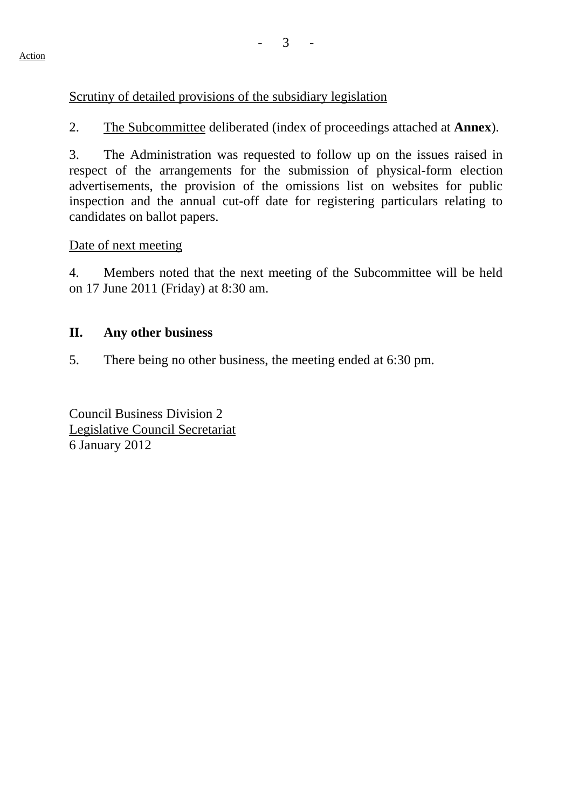## Scrutiny of detailed provisions of the subsidiary legislation

2. The Subcommittee deliberated (index of proceedings attached at **Annex**).

3. The Administration was requested to follow up on the issues raised in respect of the arrangements for the submission of physical-form election advertisements, the provision of the omissions list on websites for public inspection and the annual cut-off date for registering particulars relating to candidates on ballot papers.

Date of next meeting

4. Members noted that the next meeting of the Subcommittee will be held on 17 June 2011 (Friday) at 8:30 am.

#### **II. Any other business**

5. There being no other business, the meeting ended at 6:30 pm.

Council Business Division 2 Legislative Council Secretariat 6 January 2012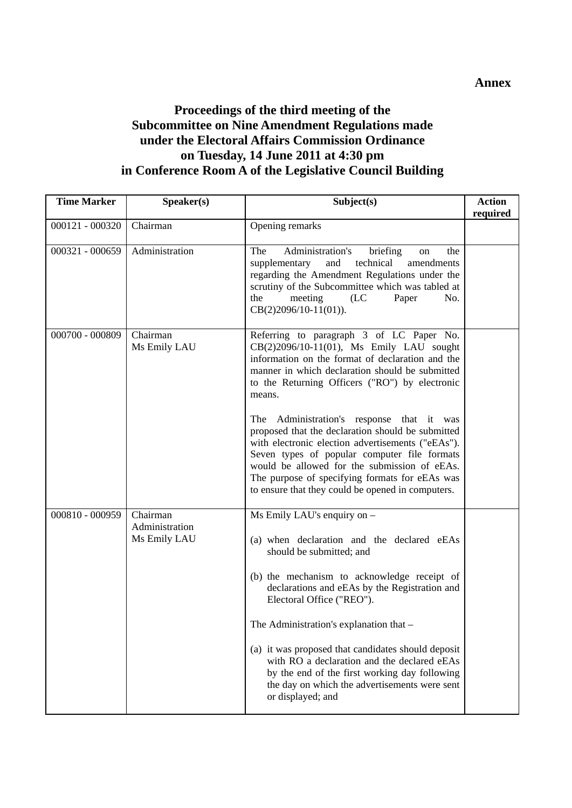#### **Annex**

# **Proceedings of the third meeting of the Subcommittee on Nine Amendment Regulations made under the Electoral Affairs Commission Ordinance on Tuesday, 14 June 2011 at 4:30 pm in Conference Room A of the Legislative Council Building**

| <b>Time Marker</b> | Speaker(s)                                 | Subject(s)                                                                                                                                                                                                                                                                                                                                                                                                                                                                                                        | <b>Action</b><br>required |
|--------------------|--------------------------------------------|-------------------------------------------------------------------------------------------------------------------------------------------------------------------------------------------------------------------------------------------------------------------------------------------------------------------------------------------------------------------------------------------------------------------------------------------------------------------------------------------------------------------|---------------------------|
| 000121 - 000320    | Chairman                                   | Opening remarks                                                                                                                                                                                                                                                                                                                                                                                                                                                                                                   |                           |
| 000321 - 000659    | Administration                             | Administration's<br>The<br>briefing<br>the<br>on<br>supplementary<br>technical<br>amendments<br>and<br>regarding the Amendment Regulations under the<br>scrutiny of the Subcommittee which was tabled at<br>meeting<br>(LC)<br>No.<br>the<br>Paper<br>$CB(2)2096/10-11(01)).$                                                                                                                                                                                                                                     |                           |
| 000700 - 000809    | Chairman<br>Ms Emily LAU                   | Referring to paragraph 3 of LC Paper No.<br>CB(2)2096/10-11(01), Ms Emily LAU sought<br>information on the format of declaration and the<br>manner in which declaration should be submitted<br>to the Returning Officers ("RO") by electronic<br>means.<br>Administration's response that it was<br>The<br>proposed that the declaration should be submitted<br>with electronic election advertisements ("eEAs").<br>Seven types of popular computer file formats<br>would be allowed for the submission of eEAs. |                           |
|                    |                                            | The purpose of specifying formats for eEAs was<br>to ensure that they could be opened in computers.                                                                                                                                                                                                                                                                                                                                                                                                               |                           |
| 000810 - 000959    | Chairman<br>Administration<br>Ms Emily LAU | Ms Emily LAU's enquiry on -<br>(a) when declaration and the declared eEAs<br>should be submitted; and                                                                                                                                                                                                                                                                                                                                                                                                             |                           |
|                    |                                            | (b) the mechanism to acknowledge receipt of<br>declarations and eEAs by the Registration and<br>Electoral Office ("REO").                                                                                                                                                                                                                                                                                                                                                                                         |                           |
|                    |                                            | The Administration's explanation that -                                                                                                                                                                                                                                                                                                                                                                                                                                                                           |                           |
|                    |                                            | (a) it was proposed that candidates should deposit<br>with RO a declaration and the declared eEAs<br>by the end of the first working day following<br>the day on which the advertisements were sent<br>or displayed; and                                                                                                                                                                                                                                                                                          |                           |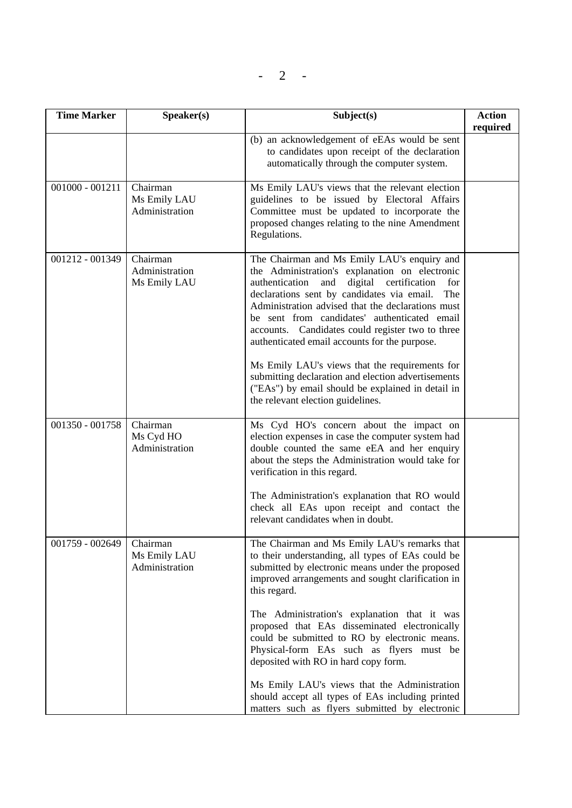$- 2 - 1$ 

| <b>Time Marker</b> | Speaker(s)                                 | Subject(s)                                                                                                                                                                                                                                                                                                                                                                                                                                                                                                                                                                                                                 | <b>Action</b><br>required |
|--------------------|--------------------------------------------|----------------------------------------------------------------------------------------------------------------------------------------------------------------------------------------------------------------------------------------------------------------------------------------------------------------------------------------------------------------------------------------------------------------------------------------------------------------------------------------------------------------------------------------------------------------------------------------------------------------------------|---------------------------|
|                    |                                            | (b) an acknowledgement of eEAs would be sent<br>to candidates upon receipt of the declaration<br>automatically through the computer system.                                                                                                                                                                                                                                                                                                                                                                                                                                                                                |                           |
| $001000 - 001211$  | Chairman<br>Ms Emily LAU<br>Administration | Ms Emily LAU's views that the relevant election<br>guidelines to be issued by Electoral Affairs<br>Committee must be updated to incorporate the<br>proposed changes relating to the nine Amendment<br>Regulations.                                                                                                                                                                                                                                                                                                                                                                                                         |                           |
| 001212 - 001349    | Chairman<br>Administration<br>Ms Emily LAU | The Chairman and Ms Emily LAU's enquiry and<br>the Administration's explanation on electronic<br>authentication<br>digital<br>certification<br>and<br>for<br>declarations sent by candidates via email.<br>The<br>Administration advised that the declarations must<br>be sent from candidates' authenticated email<br>accounts. Candidates could register two to three<br>authenticated email accounts for the purpose.<br>Ms Emily LAU's views that the requirements for<br>submitting declaration and election advertisements<br>("EAs") by email should be explained in detail in<br>the relevant election guidelines. |                           |
| 001350 - 001758    | Chairman<br>Ms Cyd HO<br>Administration    | Ms Cyd HO's concern about the impact on<br>election expenses in case the computer system had<br>double counted the same eEA and her enquiry<br>about the steps the Administration would take for<br>verification in this regard.<br>The Administration's explanation that RO would<br>check all EAs upon receipt and contact the<br>relevant candidates when in doubt.                                                                                                                                                                                                                                                     |                           |
| 001759 - 002649    | Chairman<br>Ms Emily LAU<br>Administration | The Chairman and Ms Emily LAU's remarks that<br>to their understanding, all types of EAs could be<br>submitted by electronic means under the proposed<br>improved arrangements and sought clarification in<br>this regard.<br>The Administration's explanation that it was<br>proposed that EAs disseminated electronically<br>could be submitted to RO by electronic means.<br>Physical-form EAs such as flyers must be<br>deposited with RO in hard copy form.<br>Ms Emily LAU's views that the Administration<br>should accept all types of EAs including printed<br>matters such as flyers submitted by electronic     |                           |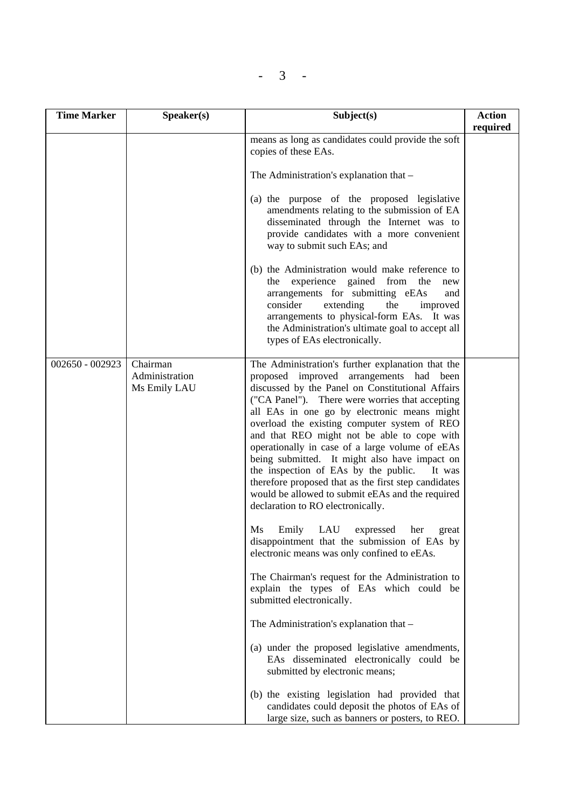| <b>Time Marker</b> | Speaker(s)                                 | Subject(s)                                                                                                                                                                                                                                                                                                                                                                                                                                                                                                                                                                                                                                                                                                                                                                                                                                                                                                                                                                                                                                                                                                        | <b>Action</b><br>required |
|--------------------|--------------------------------------------|-------------------------------------------------------------------------------------------------------------------------------------------------------------------------------------------------------------------------------------------------------------------------------------------------------------------------------------------------------------------------------------------------------------------------------------------------------------------------------------------------------------------------------------------------------------------------------------------------------------------------------------------------------------------------------------------------------------------------------------------------------------------------------------------------------------------------------------------------------------------------------------------------------------------------------------------------------------------------------------------------------------------------------------------------------------------------------------------------------------------|---------------------------|
|                    |                                            | means as long as candidates could provide the soft<br>copies of these EAs.                                                                                                                                                                                                                                                                                                                                                                                                                                                                                                                                                                                                                                                                                                                                                                                                                                                                                                                                                                                                                                        |                           |
|                    |                                            | The Administration's explanation that –                                                                                                                                                                                                                                                                                                                                                                                                                                                                                                                                                                                                                                                                                                                                                                                                                                                                                                                                                                                                                                                                           |                           |
|                    |                                            | (a) the purpose of the proposed legislative<br>amendments relating to the submission of EA<br>disseminated through the Internet was to<br>provide candidates with a more convenient<br>way to submit such EAs; and                                                                                                                                                                                                                                                                                                                                                                                                                                                                                                                                                                                                                                                                                                                                                                                                                                                                                                |                           |
|                    |                                            | (b) the Administration would make reference to<br>experience gained from<br>the<br>the<br>new<br>arrangements for submitting eEAs<br>and<br>consider<br>extending<br>the<br>improved<br>arrangements to physical-form EAs. It was<br>the Administration's ultimate goal to accept all<br>types of EAs electronically.                                                                                                                                                                                                                                                                                                                                                                                                                                                                                                                                                                                                                                                                                                                                                                                             |                           |
| 002650 - 002923    | Chairman<br>Administration<br>Ms Emily LAU | The Administration's further explanation that the<br>proposed improved arrangements had been<br>discussed by the Panel on Constitutional Affairs<br>("CA Panel"). There were worries that accepting<br>all EAs in one go by electronic means might<br>overload the existing computer system of REO<br>and that REO might not be able to cope with<br>operationally in case of a large volume of eEAs<br>being submitted. It might also have impact on<br>the inspection of EAs by the public.<br>It was<br>therefore proposed that as the first step candidates<br>would be allowed to submit eEAs and the required<br>declaration to RO electronically.<br>Ms<br>LAU<br>Emily<br>expressed<br>her<br>great<br>disappointment that the submission of EAs by<br>electronic means was only confined to eEAs.<br>The Chairman's request for the Administration to<br>explain the types of EAs which could be<br>submitted electronically.<br>The Administration's explanation that -<br>(a) under the proposed legislative amendments,<br>EAs disseminated electronically could be<br>submitted by electronic means; |                           |
|                    |                                            | (b) the existing legislation had provided that<br>candidates could deposit the photos of EAs of<br>large size, such as banners or posters, to REO.                                                                                                                                                                                                                                                                                                                                                                                                                                                                                                                                                                                                                                                                                                                                                                                                                                                                                                                                                                |                           |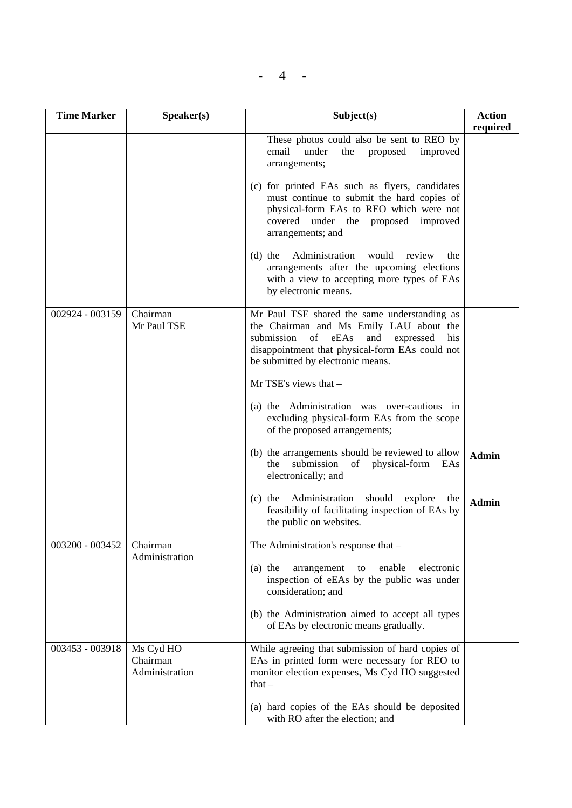|--|--|

| <b>Time Marker</b> | Speaker(s)                              | Subject(s)                                                                                                                                                                                                                          | <b>Action</b><br>required |
|--------------------|-----------------------------------------|-------------------------------------------------------------------------------------------------------------------------------------------------------------------------------------------------------------------------------------|---------------------------|
|                    |                                         | These photos could also be sent to REO by<br>improved<br>email<br>under<br>the<br>proposed<br>arrangements;                                                                                                                         |                           |
|                    |                                         | (c) for printed EAs such as flyers, candidates<br>must continue to submit the hard copies of<br>physical-form EAs to REO which were not<br>covered<br>under the proposed<br>improved<br>arrangements; and                           |                           |
|                    |                                         | Administration<br>would<br>$(d)$ the<br>review<br>the<br>arrangements after the upcoming elections<br>with a view to accepting more types of EAs<br>by electronic means.                                                            |                           |
| 002924 - 003159    | Chairman<br>Mr Paul TSE                 | Mr Paul TSE shared the same understanding as<br>the Chairman and Ms Emily LAU about the<br>submission<br>of eEAs<br>and<br>expressed<br>his<br>disappointment that physical-form EAs could not<br>be submitted by electronic means. |                           |
|                    |                                         | Mr TSE's views that -                                                                                                                                                                                                               |                           |
|                    |                                         | (a) the Administration was over-cautious in<br>excluding physical-form EAs from the scope<br>of the proposed arrangements;                                                                                                          |                           |
|                    |                                         | (b) the arrangements should be reviewed to allow<br>submission<br>of<br>physical-form<br>the<br>EAs<br>electronically; and                                                                                                          | <b>Admin</b>              |
|                    |                                         | Administration<br>$(c)$ the<br>should<br>explore<br>the<br>feasibility of facilitating inspection of EAs by<br>the public on websites.                                                                                              | Admin                     |
| 003200 - 003452    | Chairman<br>Administration              | The Administration's response that -                                                                                                                                                                                                |                           |
|                    |                                         | $(a)$ the<br>arrangement<br>enable<br>electronic<br>to<br>inspection of eEAs by the public was under<br>consideration; and                                                                                                          |                           |
|                    |                                         | (b) the Administration aimed to accept all types<br>of EAs by electronic means gradually.                                                                                                                                           |                           |
| 003453 - 003918    | Ms Cyd HO<br>Chairman<br>Administration | While agreeing that submission of hard copies of<br>EAs in printed form were necessary for REO to<br>monitor election expenses, Ms Cyd HO suggested<br>that $-$                                                                     |                           |
|                    |                                         | (a) hard copies of the EAs should be deposited<br>with RO after the election; and                                                                                                                                                   |                           |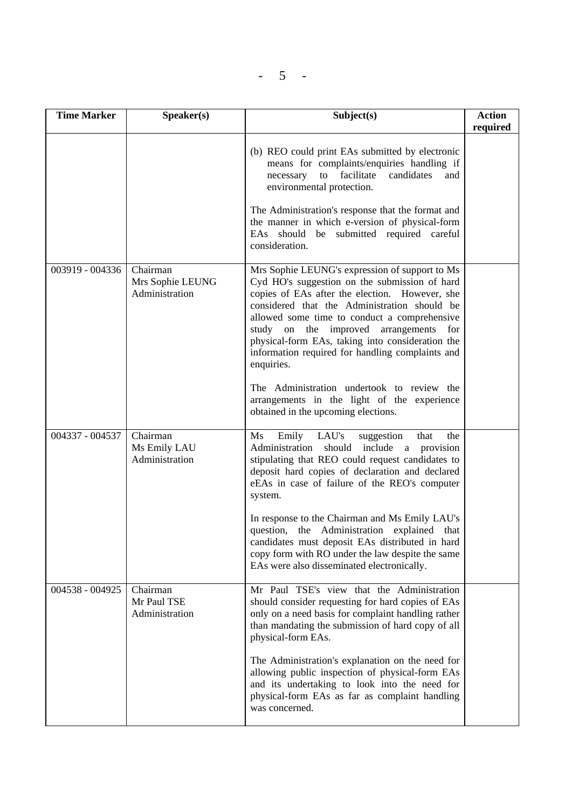| n an<br>. . |  |
|-------------|--|
|             |  |

| <b>Time Marker</b> | Speaker(s)                                     | Subject(s)                                                                                                                                                                                                                                                                                                                                                                                                                                                                                                                                               | <b>Action</b><br>required |
|--------------------|------------------------------------------------|----------------------------------------------------------------------------------------------------------------------------------------------------------------------------------------------------------------------------------------------------------------------------------------------------------------------------------------------------------------------------------------------------------------------------------------------------------------------------------------------------------------------------------------------------------|---------------------------|
|                    |                                                | (b) REO could print EAs submitted by electronic<br>means for complaints/enquiries handling if<br>facilitate<br>candidates<br>to<br>necessary<br>and<br>environmental protection.<br>The Administration's response that the format and<br>the manner in which e-version of physical-form<br>EAs should be submitted required careful<br>consideration.                                                                                                                                                                                                    |                           |
| 003919 - 004336    | Chairman<br>Mrs Sophie LEUNG<br>Administration | Mrs Sophie LEUNG's expression of support to Ms<br>Cyd HO's suggestion on the submission of hard<br>copies of EAs after the election. However, she<br>considered that the Administration should be<br>allowed some time to conduct a comprehensive<br>study on the improved arrangements<br>for<br>physical-form EAs, taking into consideration the<br>information required for handling complaints and<br>enquiries.<br>The Administration undertook to review the<br>arrangements in the light of the experience<br>obtained in the upcoming elections. |                           |
| 004337 - 004537    | Chairman<br>Ms Emily LAU<br>Administration     | LAU's<br>Ms<br>Emily<br>suggestion<br>the<br>that<br>Administration<br>should include a provision<br>stipulating that REO could request candidates to<br>deposit hard copies of declaration and declared<br>eEAs in case of failure of the REO's computer<br>system.<br>In response to the Chairman and Ms Emily LAU's<br>question, the Administration explained<br>that<br>candidates must deposit EAs distributed in hard<br>copy form with RO under the law despite the same<br>EAs were also disseminated electronically.                            |                           |
| 004538 - 004925    | Chairman<br>Mr Paul TSE<br>Administration      | Mr Paul TSE's view that the Administration<br>should consider requesting for hard copies of EAs<br>only on a need basis for complaint handling rather<br>than mandating the submission of hard copy of all<br>physical-form EAs.<br>The Administration's explanation on the need for<br>allowing public inspection of physical-form EAs<br>and its undertaking to look into the need for<br>physical-form EAs as far as complaint handling<br>was concerned.                                                                                             |                           |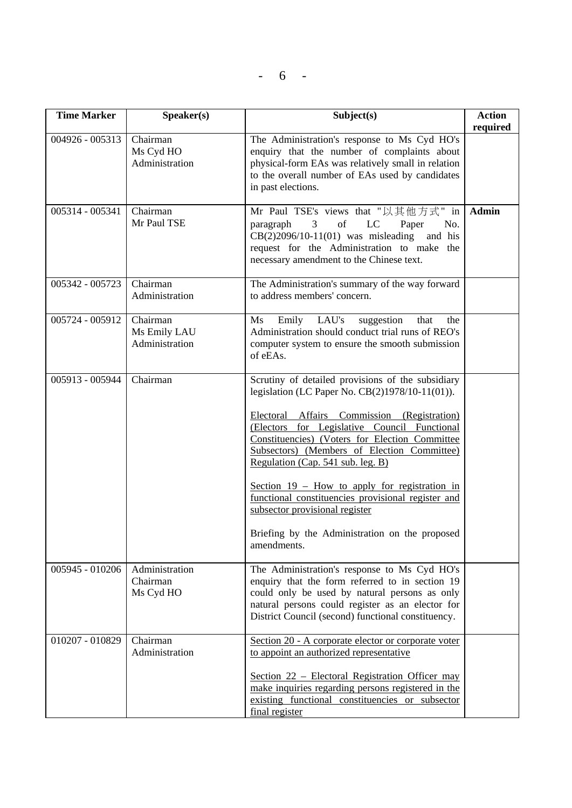$- 6 -$ 

| <b>Time Marker</b> | Speaker(s)                                 | Subject(s)                                                                                                                                                                                                                                                                                                                                                                                                                                                                                                                                            | <b>Action</b><br>required |
|--------------------|--------------------------------------------|-------------------------------------------------------------------------------------------------------------------------------------------------------------------------------------------------------------------------------------------------------------------------------------------------------------------------------------------------------------------------------------------------------------------------------------------------------------------------------------------------------------------------------------------------------|---------------------------|
| $004926 - 005313$  | Chairman<br>Ms Cyd HO<br>Administration    | The Administration's response to Ms Cyd HO's<br>enquiry that the number of complaints about<br>physical-form EAs was relatively small in relation<br>to the overall number of EAs used by candidates<br>in past elections.                                                                                                                                                                                                                                                                                                                            |                           |
| 005314 - 005341    | Chairman<br>Mr Paul TSE                    | Mr Paul TSE's views that "以其他方式" in<br>of<br>LC<br>paragraph<br>$\mathfrak{Z}$<br>Paper<br>No.<br>$CB(2)2096/10-11(01)$ was misleading and his<br>request for the Administration to make the<br>necessary amendment to the Chinese text.                                                                                                                                                                                                                                                                                                              | <b>Admin</b>              |
| 005342 - 005723    | Chairman<br>Administration                 | The Administration's summary of the way forward<br>to address members' concern.                                                                                                                                                                                                                                                                                                                                                                                                                                                                       |                           |
| 005724 - 005912    | Chairman<br>Ms Emily LAU<br>Administration | Emily LAU's<br>suggestion<br>$\overline{\text{Ms}}$<br>that<br>the<br>Administration should conduct trial runs of REO's<br>computer system to ensure the smooth submission<br>of eEAs.                                                                                                                                                                                                                                                                                                                                                                |                           |
| 005913 - 005944    | Chairman                                   | Scrutiny of detailed provisions of the subsidiary<br>legislation (LC Paper No. CB(2)1978/10-11(01)).<br>Electoral Affairs Commission (Registration)<br>(Electors for Legislative Council Functional<br>Constituencies) (Voters for Election Committee<br>Subsectors) (Members of Election Committee)<br>Regulation (Cap. 541 sub. leg. B)<br>Section $19$ – How to apply for registration in<br>functional constituencies provisional register and<br>subsector provisional register<br>Briefing by the Administration on the proposed<br>amendments. |                           |
| 005945 - 010206    | Administration<br>Chairman<br>Ms Cyd HO    | The Administration's response to Ms Cyd HO's<br>enquiry that the form referred to in section 19<br>could only be used by natural persons as only<br>natural persons could register as an elector for<br>District Council (second) functional constituency.                                                                                                                                                                                                                                                                                            |                           |
| 010207 - 010829    | Chairman<br>Administration                 | Section 20 - A corporate elector or corporate voter<br>to appoint an authorized representative<br>Section 22 – Electoral Registration Officer may<br>make inquiries regarding persons registered in the<br>existing functional constituencies or subsector<br>final register                                                                                                                                                                                                                                                                          |                           |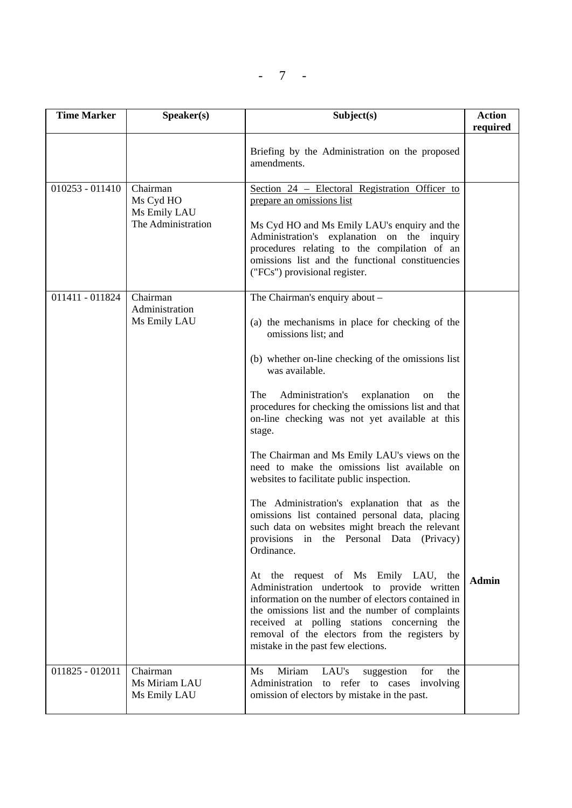| <b>Time Marker</b> | Speaker(s)                                                  | Subject(s)                                                                                                                                                                                                                                                                                                                                                                                                                                                                                                                                                                                                                                                                                                                                                                                                                                                                                                                                                                                                                                                    | <b>Action</b><br>required |
|--------------------|-------------------------------------------------------------|---------------------------------------------------------------------------------------------------------------------------------------------------------------------------------------------------------------------------------------------------------------------------------------------------------------------------------------------------------------------------------------------------------------------------------------------------------------------------------------------------------------------------------------------------------------------------------------------------------------------------------------------------------------------------------------------------------------------------------------------------------------------------------------------------------------------------------------------------------------------------------------------------------------------------------------------------------------------------------------------------------------------------------------------------------------|---------------------------|
|                    |                                                             | Briefing by the Administration on the proposed<br>amendments.                                                                                                                                                                                                                                                                                                                                                                                                                                                                                                                                                                                                                                                                                                                                                                                                                                                                                                                                                                                                 |                           |
| $010253 - 011410$  | Chairman<br>Ms Cyd HO<br>Ms Emily LAU<br>The Administration | Section 24 – Electoral Registration Officer to<br>prepare an omissions list<br>Ms Cyd HO and Ms Emily LAU's enquiry and the<br>Administration's explanation on the inquiry<br>procedures relating to the compilation of an<br>omissions list and the functional constituencies<br>("FCs") provisional register.                                                                                                                                                                                                                                                                                                                                                                                                                                                                                                                                                                                                                                                                                                                                               |                           |
| 011411 - 011824    | Chairman<br>Administration<br>Ms Emily LAU                  | The Chairman's enquiry about -<br>(a) the mechanisms in place for checking of the<br>omissions list; and<br>(b) whether on-line checking of the omissions list<br>was available.<br>The<br>Administration's<br>explanation<br>the<br>on<br>procedures for checking the omissions list and that<br>on-line checking was not yet available at this<br>stage.<br>The Chairman and Ms Emily LAU's views on the<br>need to make the omissions list available on<br>websites to facilitate public inspection.<br>The Administration's explanation that as the<br>omissions list contained personal data, placing<br>such data on websites might breach the relevant<br>provisions in the Personal Data (Privacy)<br>Ordinance.<br>At the request of Ms Emily LAU, the<br>Administration undertook to provide written<br>information on the number of electors contained in<br>the omissions list and the number of complaints<br>received at polling stations concerning the<br>removal of the electors from the registers by<br>mistake in the past few elections. | <b>Admin</b>              |
| $011825 - 012011$  | Chairman<br>Ms Miriam LAU<br>Ms Emily LAU                   | Miriam<br>LAU's<br>$\overline{\text{Ms}}$<br>suggestion<br>for<br>the<br>Administration to refer to cases involving<br>omission of electors by mistake in the past.                                                                                                                                                                                                                                                                                                                                                                                                                                                                                                                                                                                                                                                                                                                                                                                                                                                                                           |                           |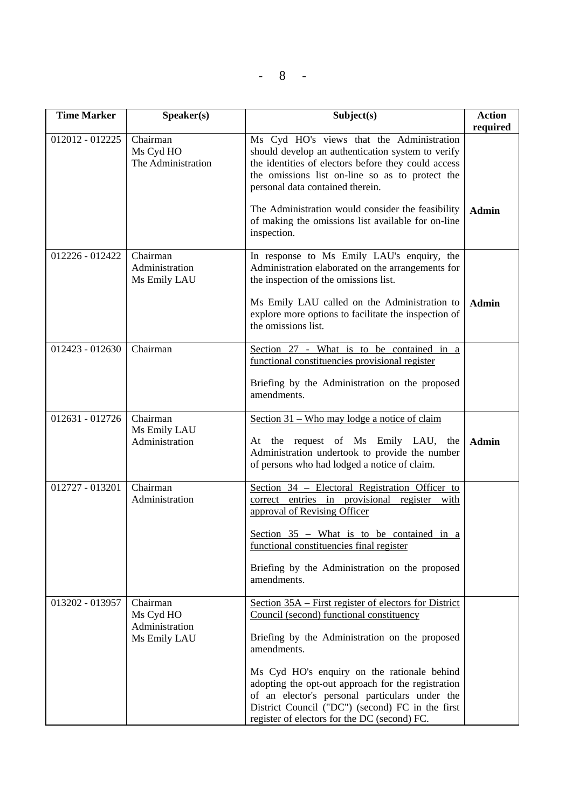- - 8

| <b>Time Marker</b> | Speaker(s)                                              | Subject(s)                                                                                                                                                                                                                                                                                                                                                                                                                    | <b>Action</b><br>required |
|--------------------|---------------------------------------------------------|-------------------------------------------------------------------------------------------------------------------------------------------------------------------------------------------------------------------------------------------------------------------------------------------------------------------------------------------------------------------------------------------------------------------------------|---------------------------|
| 012012 - 012225    | Chairman<br>Ms Cyd HO<br>The Administration             | Ms Cyd HO's views that the Administration<br>should develop an authentication system to verify<br>the identities of electors before they could access<br>the omissions list on-line so as to protect the<br>personal data contained therein.<br>The Administration would consider the feasibility<br>of making the omissions list available for on-line<br>inspection.                                                        | <b>Admin</b>              |
| 012226 - 012422    | Chairman<br>Administration<br>Ms Emily LAU              | In response to Ms Emily LAU's enquiry, the<br>Administration elaborated on the arrangements for<br>the inspection of the omissions list.<br>Ms Emily LAU called on the Administration to<br>explore more options to facilitate the inspection of<br>the omissions list.                                                                                                                                                       | <b>Admin</b>              |
| $012423 - 012630$  | Chairman                                                | Section 27 - What is to be contained in a<br>functional constituencies provisional register<br>Briefing by the Administration on the proposed<br>amendments.                                                                                                                                                                                                                                                                  |                           |
| $012631 - 012726$  | Chairman<br>Ms Emily LAU<br>Administration              | Section 31 – Who may lodge a notice of claim<br>At the request of Ms Emily LAU, the<br>Administration undertook to provide the number<br>of persons who had lodged a notice of claim.                                                                                                                                                                                                                                         | <b>Admin</b>              |
| 012727 - 013201    | Chairman<br>Administration                              | Section 34 – Electoral Registration Officer to<br>correct entries in provisional register with<br>approval of Revising Officer<br>Section 35 - What is to be contained in a<br>functional constituencies final register<br>Briefing by the Administration on the proposed<br>amendments.                                                                                                                                      |                           |
| 013202 - 013957    | Chairman<br>Ms Cyd HO<br>Administration<br>Ms Emily LAU | Section 35A – First register of electors for District<br>Council (second) functional constituency<br>Briefing by the Administration on the proposed<br>amendments.<br>Ms Cyd HO's enquiry on the rationale behind<br>adopting the opt-out approach for the registration<br>of an elector's personal particulars under the<br>District Council ("DC") (second) FC in the first<br>register of electors for the DC (second) FC. |                           |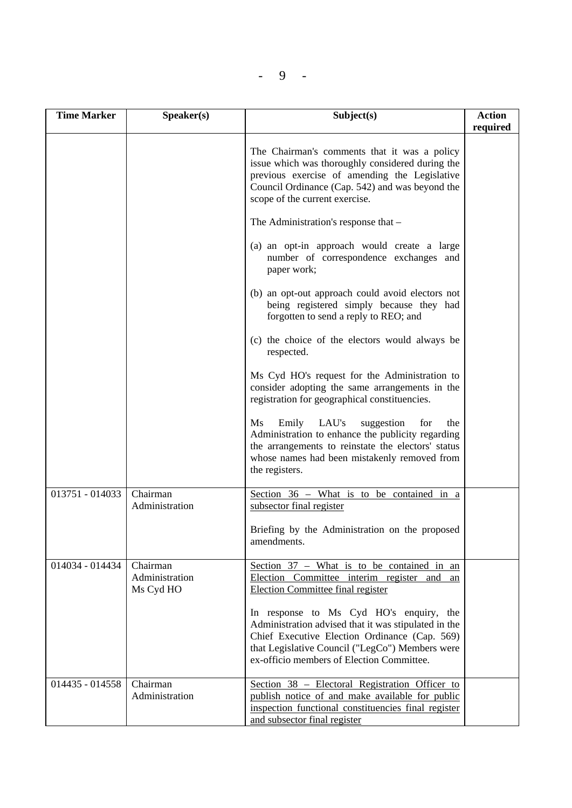| <b>Time Marker</b> | Speaker(s)                              | Subject(s)                                                                                                                                                                                                                                       | <b>Action</b><br>required |
|--------------------|-----------------------------------------|--------------------------------------------------------------------------------------------------------------------------------------------------------------------------------------------------------------------------------------------------|---------------------------|
|                    |                                         | The Chairman's comments that it was a policy<br>issue which was thoroughly considered during the<br>previous exercise of amending the Legislative<br>Council Ordinance (Cap. 542) and was beyond the<br>scope of the current exercise.           |                           |
|                    |                                         | The Administration's response that -                                                                                                                                                                                                             |                           |
|                    |                                         | (a) an opt-in approach would create a large<br>number of correspondence exchanges and<br>paper work;                                                                                                                                             |                           |
|                    |                                         | (b) an opt-out approach could avoid electors not<br>being registered simply because they had<br>forgotten to send a reply to REO; and                                                                                                            |                           |
|                    |                                         | (c) the choice of the electors would always be<br>respected.                                                                                                                                                                                     |                           |
|                    |                                         | Ms Cyd HO's request for the Administration to<br>consider adopting the same arrangements in the<br>registration for geographical constituencies.                                                                                                 |                           |
|                    |                                         | LAU's<br><b>Ms</b><br>Emily<br>suggestion<br>for<br>the<br>Administration to enhance the publicity regarding<br>the arrangements to reinstate the electors' status<br>whose names had been mistakenly removed from<br>the registers.             |                           |
| 013751 - 014033    | Chairman<br>Administration              | Section 36 - What is to be contained in a<br>subsector final register                                                                                                                                                                            |                           |
|                    |                                         | Briefing by the Administration on the proposed<br>amendments.                                                                                                                                                                                    |                           |
| 014034 - 014434    | Chairman<br>Administration<br>Ms Cyd HO | Section $37$ – What is to be contained in an<br>Election Committee interim register and<br>an<br><b>Election Committee final register</b>                                                                                                        |                           |
|                    |                                         | In response to Ms Cyd HO's enquiry, the<br>Administration advised that it was stipulated in the<br>Chief Executive Election Ordinance (Cap. 569)<br>that Legislative Council ("LegCo") Members were<br>ex-officio members of Election Committee. |                           |
| 014435 - 014558    | Chairman<br>Administration              | Section 38 - Electoral Registration Officer to<br>publish notice of and make available for public<br>inspection functional constituencies final register<br>and subsector final register                                                         |                           |